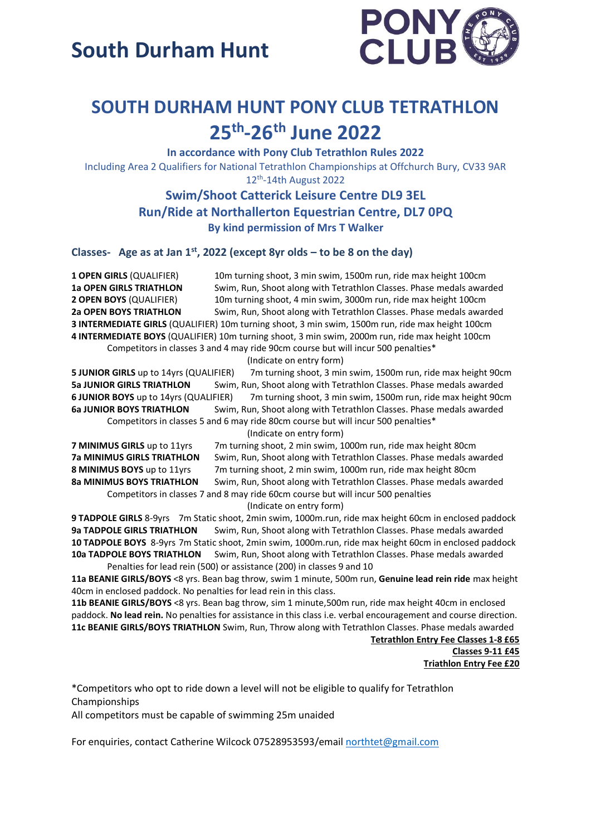

### **SOUTH DURHAM HUNT PONY CLUB TETRATHLON 25th -26th June 2022**

**In accordance with Pony Club Tetrathlon Rules 2022** Including Area 2 Qualifiers for National Tetrathlon Championships at Offchurch Bury, CV33 9AR 12<sup>th</sup>-14th August 2022

> **Swim/Shoot Catterick Leisure Centre DL9 3EL Run/Ride at Northallerton Equestrian Centre, DL7 0PQ By kind permission of Mrs T Walker**

**Classes- Age as at Jan 1st, 2022 (except 8yr olds – to be 8 on the day)**

**1 OPEN GIRLS** (QUALIFIER) 10m turning shoot, 3 min swim, 1500m run, ride max height 100cm **1a OPEN GIRLS TRIATHLON** Swim, Run, Shoot along with Tetrathlon Classes. Phase medals awarded **2 OPEN BOYS** (QUALIFIER) 10m turning shoot, 4 min swim, 3000m run, ride max height 100cm **2a OPEN BOYS TRIATHLON** Swim, Run, Shoot along with Tetrathlon Classes. Phase medals awarded **3 INTERMEDIATE GIRLS** (QUALIFIER) 10m turning shoot, 3 min swim, 1500m run, ride max height 100cm **4 INTERMEDIATE BOYS** (QUALIFIER) 10m turning shoot, 3 min swim, 2000m run, ride max height 100cm Competitors in classes 3 and 4 may ride 90cm course but will incur 500 penalties\*

(Indicate on entry form)

**5 JUNIOR GIRLS** up to 14yrs (QUALIFIER) 7m turning shoot, 3 min swim, 1500m run, ride max height 90cm **5a JUNIOR GIRLS TRIATHLON** Swim, Run, Shoot along with Tetrathlon Classes. Phase medals awarded **6 JUNIOR BOYS** up to 14yrs (QUALIFIER) 7m turning shoot, 3 min swim, 1500m run, ride max height 90cm **6a JUNIOR BOYS TRIATHLON** Swim, Run, Shoot along with Tetrathlon Classes. Phase medals awarded Competitors in classes 5 and 6 may ride 80cm course but will incur 500 penalties\*

(Indicate on entry form)

**7 MINIMUS GIRLS** up to 11yrs 7m turning shoot, 2 min swim, 1000m run, ride max height 80cm **7a MINIMUS GIRLS TRIATHLON** Swim, Run, Shoot along with Tetrathlon Classes. Phase medals awarded **8 MINIMUS BOYS** up to 11yrs 7m turning shoot, 2 min swim, 1000m run, ride max height 80cm **8a MINIMUS BOYS TRIATHLON** Swim, Run, Shoot along with Tetrathlon Classes. Phase medals awarded Competitors in classes 7 and 8 may ride 60cm course but will incur 500 penalties

(Indicate on entry form)

**9 TADPOLE GIRLS** 8-9yrs 7m Static shoot, 2min swim, 1000m.run, ride max height 60cm in enclosed paddock **9a TADPOLE GIRLS TRIATHLON** Swim, Run, Shoot along with Tetrathlon Classes. Phase medals awarded **10 TADPOLE BOYS** 8-9yrs 7m Static shoot, 2min swim, 1000m.run, ride max height 60cm in enclosed paddock **10a TADPOLE BOYS TRIATHLON** Swim, Run, Shoot along with Tetrathlon Classes. Phase medals awarded

Penalties for lead rein (500) or assistance (200) in classes 9 and 10

**11a BEANIE GIRLS/BOYS** <8 yrs. Bean bag throw, swim 1 minute, 500m run, **Genuine lead rein ride** max height 40cm in enclosed paddock. No penalties for lead rein in this class.

**11b BEANIE GIRLS/BOYS** <8 yrs. Bean bag throw, sim 1 minute,500m run, ride max height 40cm in enclosed paddock. **No lead rein.** No penalties for assistance in this class i.e. verbal encouragement and course direction. **11c BEANIE GIRLS/BOYS TRIATHLON** Swim, Run, Throw along with Tetrathlon Classes. Phase medals awarded

> **Tetrathlon Entry Fee Classes 1-8 £65 Classes 9-11 £45 Triathlon Entry Fee £20**

\*Competitors who opt to ride down a level will not be eligible to qualify for Tetrathlon Championships

All competitors must be capable of swimming 25m unaided

For enquiries, contact Catherine Wilcock 07528953593/email [northtet@gmail.com](mailto:northtet@gmail.com)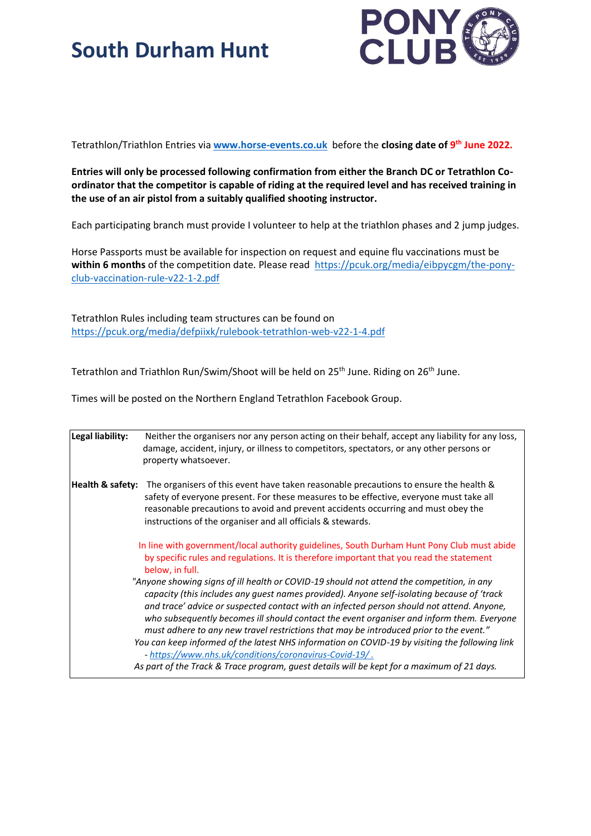

Tetrathlon/Triathlon Entries via **[www.horse-events.co.uk](http://www.horse-events.co.uk/)** before the **closing date of 9 th June 2022.**

**Entries will only be processed following confirmation from either the Branch DC or Tetrathlon Coordinator that the competitor is capable of riding at the required level and has received training in the use of an air pistol from a suitably qualified shooting instructor.** 

Each participating branch must provide I volunteer to help at the triathlon phases and 2 jump judges.

Horse Passports must be available for inspection on request and equine flu vaccinations must be within 6 months of the competition date. Please read [https://pcuk.org/media/eibpycgm/the-pony](https://pcuk.org/media/eibpycgm/the-pony-club-vaccination-rule-v22-1-2.pdf)[club-vaccination-rule-v22-1-2.pdf](https://pcuk.org/media/eibpycgm/the-pony-club-vaccination-rule-v22-1-2.pdf)

Tetrathlon Rules including team structures can be found on <https://pcuk.org/media/defpiixk/rulebook-tetrathlon-web-v22-1-4.pdf>

Tetrathlon and Triathlon Run/Swim/Shoot will be held on 25<sup>th</sup> June. Riding on 26<sup>th</sup> June.

Times will be posted on the Northern England Tetrathlon Facebook Group.

| Legal liability: | Neither the organisers nor any person acting on their behalf, accept any liability for any loss,<br>damage, accident, injury, or illness to competitors, spectators, or any other persons or<br>property whatsoever.                                                                                                                                                                                                                                                        |
|------------------|-----------------------------------------------------------------------------------------------------------------------------------------------------------------------------------------------------------------------------------------------------------------------------------------------------------------------------------------------------------------------------------------------------------------------------------------------------------------------------|
| Health & safety: | The organisers of this event have taken reasonable precautions to ensure the health &<br>safety of everyone present. For these measures to be effective, everyone must take all<br>reasonable precautions to avoid and prevent accidents occurring and must obey the<br>instructions of the organiser and all officials & stewards.                                                                                                                                         |
|                  | In line with government/local authority guidelines, South Durham Hunt Pony Club must abide<br>by specific rules and regulations. It is therefore important that you read the statement<br>below, in full.                                                                                                                                                                                                                                                                   |
|                  | "Anyone showing signs of ill health or COVID-19 should not attend the competition, in any<br>capacity (this includes any quest names provided). Anyone self-isolating because of 'track<br>and trace' advice or suspected contact with an infected person should not attend. Anyone,<br>who subsequently becomes ill should contact the event organiser and inform them. Everyone<br>must adhere to any new travel restrictions that may be introduced prior to the event." |
|                  | You can keep informed of the latest NHS information on COVID-19 by visiting the following link<br>- https://www.nhs.uk/conditions/coronavirus-Covid-19/.                                                                                                                                                                                                                                                                                                                    |
|                  | As part of the Track & Trace program, guest details will be kept for a maximum of 21 days.                                                                                                                                                                                                                                                                                                                                                                                  |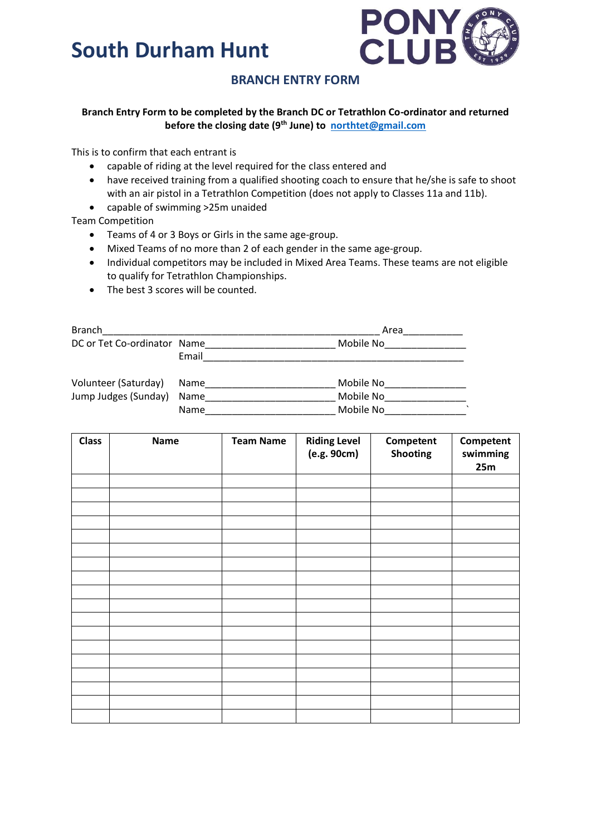

#### **BRANCH ENTRY FORM**

#### **Branch Entry Form to be completed by the Branch DC or Tetrathlon Co-ordinator and returned before the closing date (9th June) to [northtet@gmail.com](mailto:northtet@gmail.com)**

This is to confirm that each entrant is

- capable of riding at the level required for the class entered and
- have received training from a qualified shooting coach to ensure that he/she is safe to shoot with an air pistol in a Tetrathlon Competition (does not apply to Classes 11a and 11b).
- capable of swimming >25m unaided

Team Competition

- Teams of 4 or 3 Boys or Girls in the same age-group.
- Mixed Teams of no more than 2 of each gender in the same age-group.
- Individual competitors may be included in Mixed Area Teams. These teams are not eligible to qualify for Tetrathlon Championships.
- The best 3 scores will be counted.

| <b>Branch</b>               |       | Area      |  |  |
|-----------------------------|-------|-----------|--|--|
| DC or Tet Co-ordinator Name |       | Mobile No |  |  |
|                             | Email |           |  |  |
| Volunteer (Saturday)        | Name  | Mobile No |  |  |
| Jump Judges (Sunday)        | Name  | Mobile No |  |  |
|                             | Name  | Mobile No |  |  |

| <b>Class</b> | <b>Name</b> | <b>Team Name</b> | <b>Riding Level</b><br>(e.g. 90cm) | Competent<br><b>Shooting</b> | Competent<br>swimming<br>25m |
|--------------|-------------|------------------|------------------------------------|------------------------------|------------------------------|
|              |             |                  |                                    |                              |                              |
|              |             |                  |                                    |                              |                              |
|              |             |                  |                                    |                              |                              |
|              |             |                  |                                    |                              |                              |
|              |             |                  |                                    |                              |                              |
|              |             |                  |                                    |                              |                              |
|              |             |                  |                                    |                              |                              |
|              |             |                  |                                    |                              |                              |
|              |             |                  |                                    |                              |                              |
|              |             |                  |                                    |                              |                              |
|              |             |                  |                                    |                              |                              |
|              |             |                  |                                    |                              |                              |
|              |             |                  |                                    |                              |                              |
|              |             |                  |                                    |                              |                              |
|              |             |                  |                                    |                              |                              |
|              |             |                  |                                    |                              |                              |
|              |             |                  |                                    |                              |                              |
|              |             |                  |                                    |                              |                              |